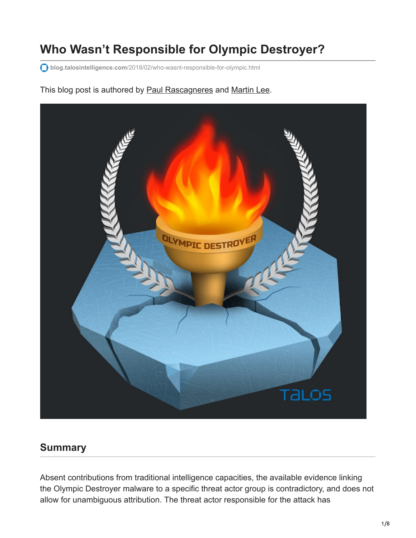# **Who Wasn't Responsible for Olympic Destroyer?**

**blog.talosintelligence.com**[/2018/02/who-wasnt-responsible-for-olympic.html](http://blog.talosintelligence.com/2018/02/who-wasnt-responsible-for-olympic.html)

# OLYMPIC DESTRO **TALOS**

This blog post is authored by [Paul Rascagneres](https://twitter.com/r00tbsd) and [Martin Lee.](https://www.blogger.com/profile/17941683095374027310)

# **Summary**

Absent contributions from traditional intelligence capacities, the available evidence linking the Olympic Destroyer malware to a specific threat actor group is contradictory, and does not allow for unambiguous attribution. The threat actor responsible for the attack has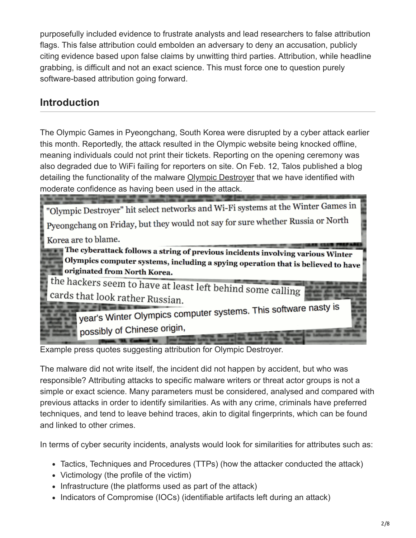purposefully included evidence to frustrate analysts and lead researchers to false attribution flags. This false attribution could embolden an adversary to deny an accusation, publicly citing evidence based upon false claims by unwitting third parties. Attribution, while headline grabbing, is difficult and not an exact science. This must force one to question purely software-based attribution going forward.

# **Introduction**

The Olympic Games in Pyeongchang, South Korea were disrupted by a cyber attack earlier this month. Reportedly, the attack resulted in the Olympic website being knocked offline, meaning individuals could not print their tickets. Reporting on the opening ceremony was also degraded due to WiFi failing for reporters on site. On Feb. 12, Talos published a blog detailing the functionality of the malware [Olympic Destroyer](http://blog.talosintelligence.com/2018/02/olympic-destroyer.html) that we have identified with moderate confidence as having been used in the attack.



Example press quotes suggesting attribution for Olympic Destroyer.

The malware did not write itself, the incident did not happen by accident, but who was responsible? Attributing attacks to specific malware writers or threat actor groups is not a simple or exact science. Many parameters must be considered, analysed and compared with previous attacks in order to identify similarities. As with any crime, criminals have preferred techniques, and tend to leave behind traces, akin to digital fingerprints, which can be found and linked to other crimes.

In terms of cyber security incidents, analysts would look for similarities for attributes such as:

- Tactics, Techniques and Procedures (TTPs) (how the attacker conducted the attack)
- Victimology (the profile of the victim)
- Infrastructure (the platforms used as part of the attack)
- Indicators of Compromise (IOCs) (identifiable artifacts left during an attack)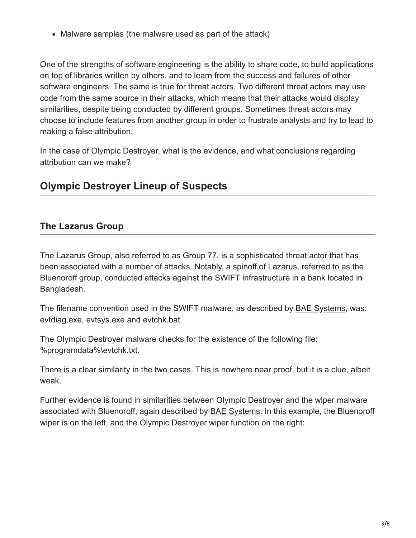• Malware samples (the malware used as part of the attack)

One of the strengths of software engineering is the ability to share code, to build applications on top of libraries written by others, and to learn from the success and failures of other software engineers. The same is true for threat actors. Two different threat actors may use code from the same source in their attacks, which means that their attacks would display similarities, despite being conducted by different groups. Sometimes threat actors may choose to include features from another group in order to frustrate analysts and try to lead to making a false attribution.

In the case of Olympic Destroyer, what is the evidence, and what conclusions regarding attribution can we make?

# **Olympic Destroyer Lineup of Suspects**

#### **The Lazarus Group**

The Lazarus Group, also referred to as Group 77, is a sophisticated threat actor that has been associated with a number of attacks. Notably, a spinoff of Lazarus, referred to as the Bluenoroff group, conducted attacks against the SWIFT infrastructure in a bank located in Bangladesh.

The filename convention used in the SWIFT malware, as described by **[BAE Systems](https://baesystemsai.blogspot.com/2016/04/two-bytes-to-951m.html)**, was: evtdiag.exe, evtsys.exe and evtchk.bat.

The Olympic Destroyer malware checks for the existence of the following file: %programdata%\evtchk.txt.

There is a clear similarity in the two cases. This is nowhere near proof, but it is a clue, albeit weak.

Further evidence is found in similarities between Olympic Destroyer and the wiper malware associated with Bluenoroff, again described by [BAE Systems.](https://baesystemsai.blogspot.com/2016/05/cyber-heist-attribution.html) In this example, the Bluenoroff wiper is on the left, and the Olympic Destroyer wiper function on the right: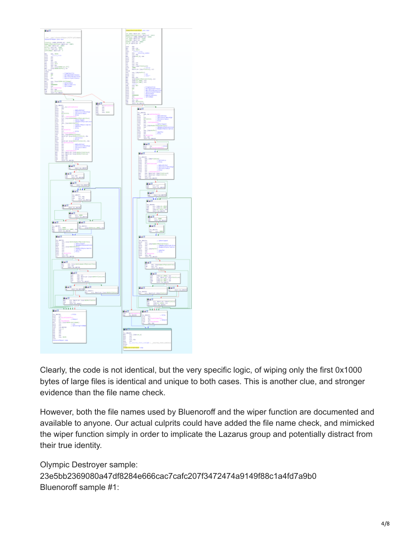

Clearly, the code is not identical, but the very specific logic, of wiping only the first 0x1000 bytes of large files is identical and unique to both cases. This is another clue, and stronger evidence than the file name check.

However, both the file names used by Bluenoroff and the wiper function are documented and available to anyone. Our actual culprits could have added the file name check, and mimicked the wiper function simply in order to implicate the Lazarus group and potentially distract from their true identity.

Olympic Destroyer sample: 23e5bb2369080a47df8284e666cac7cafc207f3472474a9149f88c1a4fd7a9b0 Bluenoroff sample #1: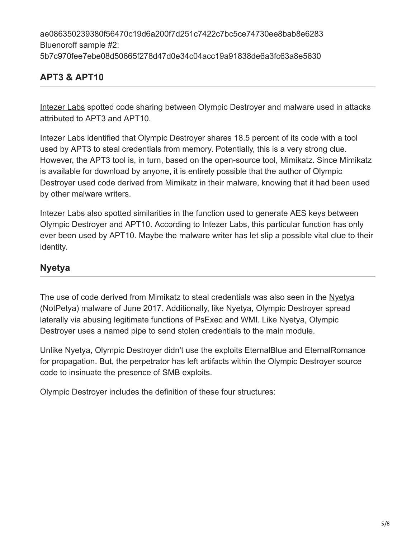ae086350239380f56470c19d6a200f7d251c7422c7bc5ce74730ee8bab8e6283 Bluenoroff sample #2: 5b7c970fee7ebe08d50665f278d47d0e34c04acc19a91838de6a3fc63a8e5630

# **APT3 & APT10**

[Intezer Labs](http://www.intezer.com/2018-winter-cyber-olympics-code-similarities-cyber-attacks-pyeongchang/) spotted code sharing between Olympic Destroyer and malware used in attacks attributed to APT3 and APT10.

Intezer Labs identified that Olympic Destroyer shares 18.5 percent of its code with a tool used by APT3 to steal credentials from memory. Potentially, this is a very strong clue. However, the APT3 tool is, in turn, based on the open-source tool, Mimikatz. Since Mimikatz is available for download by anyone, it is entirely possible that the author of Olympic Destroyer used code derived from Mimikatz in their malware, knowing that it had been used by other malware writers.

Intezer Labs also spotted similarities in the function used to generate AES keys between Olympic Destroyer and APT10. According to Intezer Labs, this particular function has only ever been used by APT10. Maybe the malware writer has let slip a possible vital clue to their identity.

### **Nyetya**

The use of code derived from Mimikatz to steal credentials was also seen in the [Nyetya](http://blog.talosintelligence.com/2017/06/worldwide-ransomware-variant.html) (NotPetya) malware of June 2017. Additionally, like Nyetya, Olympic Destroyer spread laterally via abusing legitimate functions of PsExec and WMI. Like Nyetya, Olympic Destroyer uses a named pipe to send stolen credentials to the main module.

Unlike Nyetya, Olympic Destroyer didn't use the exploits EternalBlue and EternalRomance for propagation. But, the perpetrator has left artifacts within the Olympic Destroyer source code to insinuate the presence of SMB exploits.

Olympic Destroyer includes the definition of these four structures: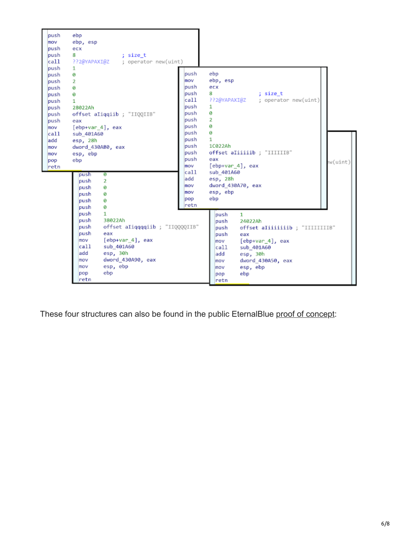

These four structures can also be found in the public EternalBlue [proof of concept:](https://github.com/worawit/MS17-010/blob/master/zzz_exploit.py)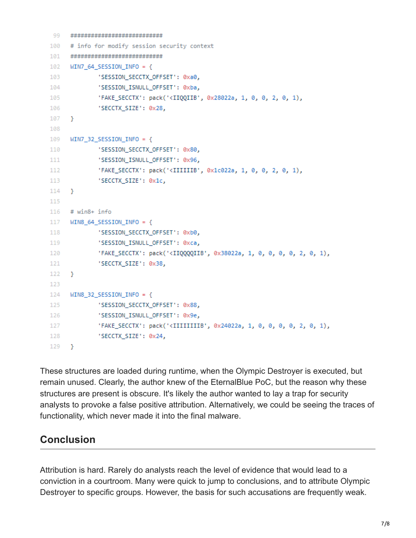```
99
      *****************************
100
      # info for modify session security context
101
      ****************************
102
      WIN7 64 SESSION INFO = \{103
              'SESSION SECCTX OFFSET': 0xa0,
104'SESSION ISNULL OFFSET': 0xba,
               'FAKE_SECCTX': pack('<IIQQIIB', 0x28022a, 1, 0, 0, 2, 0, 1),
105
              'SECCTX SIZE': 0x28,
106
107
      Y
108
109
     WIN7 32 SESSION INFO = \{110
              'SESSION_SECCTX_OFFSET': 0x80,
111
              'SESSION ISNULL OFFSET': 0x96,
112
              'FAKE SECCTX': pack('<IIIIIIB', 0x1c022a, 1, 0, 0, 2, 0, 1),
113
              'SECCTX SIZE': 0x1c,
114
     \mathcal{F}115
116
     # win8+ info
     WIN8 64 SESSION INFO = {
117
118
              'SESSION_SECCTX_OFFSET': 0xb0,
119
              'SESSION_ISNULL_OFFSET': 0xca,
120
              'FAKE_SECCTX': pack('<IIQQQQIIB', 0x38022a, 1, 0, 0, 0, 0, 2, 0, 1),
121
              'SECCTX SIZE': 0x38,
122
     \mathcal{F}123
124
     WIN8 32 SESSION INFO = \{125
              'SESSION SECCTX OFFSET': 0x88,
              'SESSION_ISNULL_OFFSET': 0x9e,
126
              'FAKE_SECCTX': pack('<IIIIIIIIB', 0x24022a, 1, 0, 0, 0, 0, 2, 0, 1),
127
128
              'SECCTX_SIZE': 0x24,
129
    \rightarrow
```
These structures are loaded during runtime, when the Olympic Destroyer is executed, but remain unused. Clearly, the author knew of the EternalBlue PoC, but the reason why these structures are present is obscure. It's likely the author wanted to lay a trap for security analysts to provoke a false positive attribution. Alternatively, we could be seeing the traces of functionality, which never made it into the final malware.

# **Conclusion**

Attribution is hard. Rarely do analysts reach the level of evidence that would lead to a conviction in a courtroom. Many were quick to jump to conclusions, and to attribute Olympic Destroyer to specific groups. However, the basis for such accusations are frequently weak.